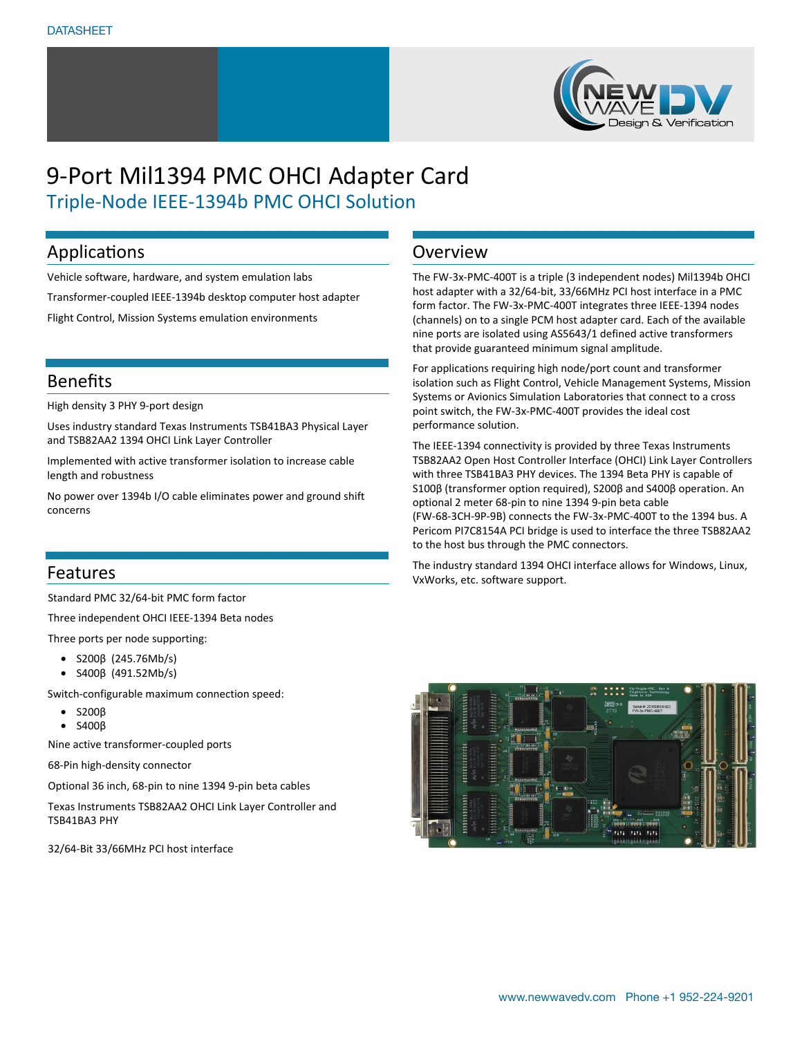

# 9-Port Mil1394 PMC OHCI Adapter Card Triple-Node IEEE-1394b PMC OHCI Solution

### Applications

Vehicle software, hardware, and system emulation labs Transformer-coupled IEEE-1394b desktop computer host adapter Flight Control, Mission Systems emulation environments

### Benefits

High density 3 PHY 9-port design

Uses industry standard Texas Instruments TSB41BA3 Physical Layer and TSB82AA2 1394 OHCI Link Layer Controller

Implemented with active transformer isolation to increase cable length and robustness

No power over 1394b I/O cable eliminates power and ground shift concerns

### Features

Standard PMC 32/64-bit PMC form factor

Three independent OHCI IEEE-1394 Beta nodes

Three ports per node supporting:

- S200β (245.76Mb/s)
- S400β (491.52Mb/s)

Switch-configurable maximum connection speed:

- S200β
- S400β

Nine active transformer-coupled ports

68-Pin high-density connector

Optional 36 inch, 68-pin to nine 1394 9-pin beta cables

Texas Instruments TSB82AA2 OHCI Link Layer Controller and TSB41BA3 PHY

32/64-Bit 33/66MHz PCI host interface

### Overview

The FW-3x-PMC-400T is a triple (3 independent nodes) Mil1394b OHCI host adapter with a 32/64-bit, 33/66MHz PCI host interface in a PMC form factor. The FW-3x-PMC-400T integrates three IEEE-1394 nodes (channels) on to a single PCM host adapter card. Each of the available nine ports are isolated using AS5643/1 defined active transformers that provide guaranteed minimum signal amplitude.

For applications requiring high node/port count and transformer isolation such as Flight Control, Vehicle Management Systems, Mission Systems or Avionics Simulation Laboratories that connect to a cross point switch, the FW-3x-PMC-400T provides the ideal cost performance solution.

The IEEE-1394 connectivity is provided by three Texas Instruments TSB82AA2 Open Host Controller Interface (OHCI) Link Layer Controllers with three TSB41BA3 PHY devices. The 1394 Beta PHY is capable of S100β (transformer option required), S200β and S400β operation. An optional 2 meter 68-pin to nine 1394 9-pin beta cable (FW-68-3CH-9P-9B) connects the FW-3x-PMC-400T to the 1394 bus. A Pericom PI7C8154A PCI bridge is used to interface the three TSB82AA2 to the host bus through the PMC connectors.

The industry standard 1394 OHCI interface allows for Windows, Linux, VxWorks, etc. software support.